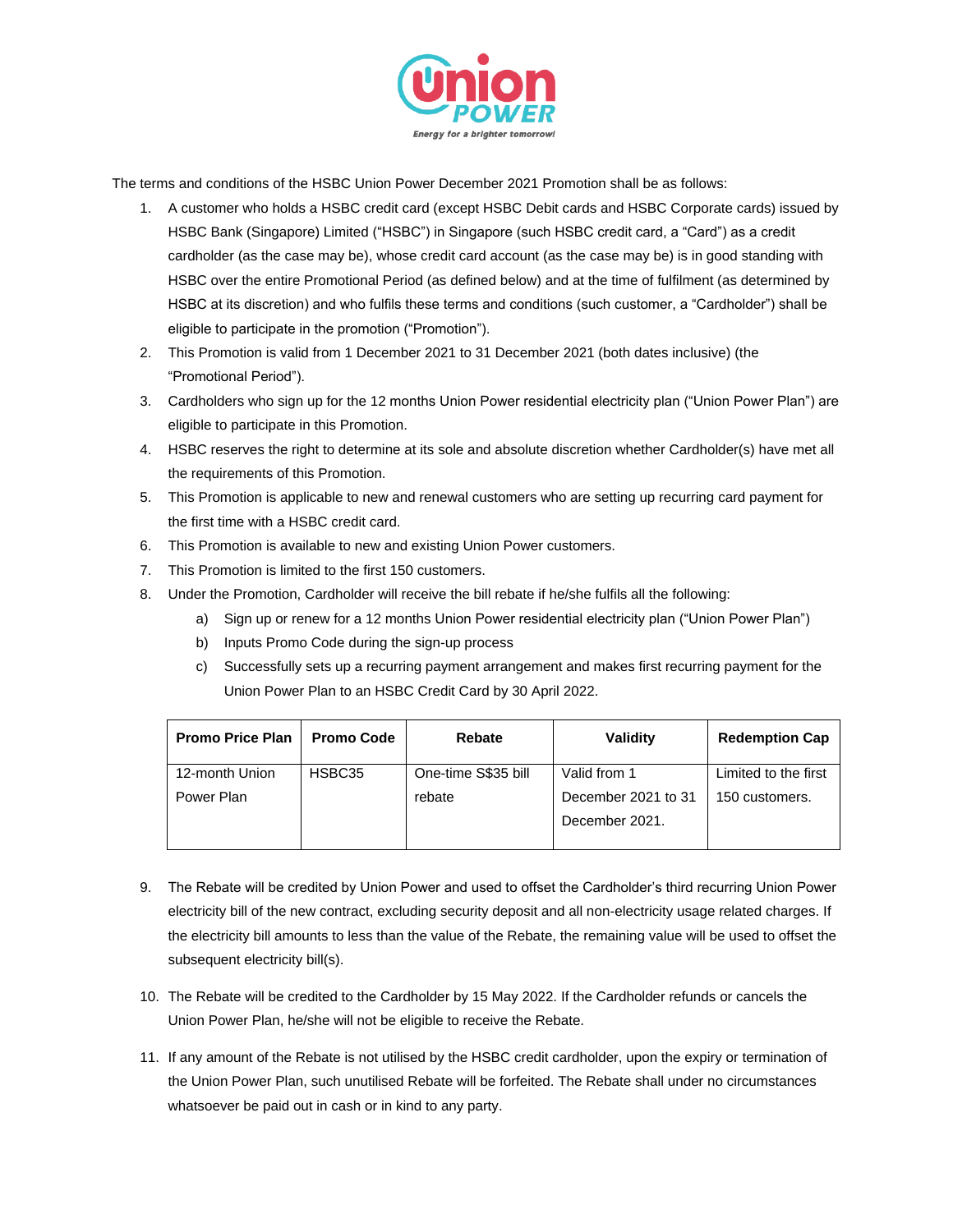

The terms and conditions of the HSBC Union Power December 2021 Promotion shall be as follows:

- 1. A customer who holds a HSBC credit card (except HSBC Debit cards and HSBC Corporate cards) issued by HSBC Bank (Singapore) Limited ("HSBC") in Singapore (such HSBC credit card, a "Card") as a credit cardholder (as the case may be), whose credit card account (as the case may be) is in good standing with HSBC over the entire Promotional Period (as defined below) and at the time of fulfilment (as determined by HSBC at its discretion) and who fulfils these terms and conditions (such customer, a "Cardholder") shall be eligible to participate in the promotion ("Promotion").
- 2. This Promotion is valid from 1 December 2021 to 31 December 2021 (both dates inclusive) (the "Promotional Period").
- 3. Cardholders who sign up for the 12 months Union Power residential electricity plan ("Union Power Plan") are eligible to participate in this Promotion.
- 4. HSBC reserves the right to determine at its sole and absolute discretion whether Cardholder(s) have met all the requirements of this Promotion.
- 5. This Promotion is applicable to new and renewal customers who are setting up recurring card payment for the first time with a HSBC credit card.
- 6. This Promotion is available to new and existing Union Power customers.
- 7. This Promotion is limited to the first 150 customers.
- 8. Under the Promotion, Cardholder will receive the bill rebate if he/she fulfils all the following:
	- a) Sign up or renew for a 12 months Union Power residential electricity plan ("Union Power Plan")
	- b) Inputs Promo Code during the sign-up process
	- c) Successfully sets up a recurring payment arrangement and makes first recurring payment for the Union Power Plan to an HSBC Credit Card by 30 April 2022.

| <b>Promo Price Plan</b> | <b>Promo Code</b> | Rebate              | <b>Validity</b>     | <b>Redemption Cap</b> |
|-------------------------|-------------------|---------------------|---------------------|-----------------------|
| 12-month Union          | HSBC35            | One-time S\$35 bill | Valid from 1        | Limited to the first  |
| Power Plan              |                   | rebate              | December 2021 to 31 | 150 customers.        |
|                         |                   |                     | December 2021.      |                       |
|                         |                   |                     |                     |                       |

- 9. The Rebate will be credited by Union Power and used to offset the Cardholder's third recurring Union Power electricity bill of the new contract, excluding security deposit and all non-electricity usage related charges. If the electricity bill amounts to less than the value of the Rebate, the remaining value will be used to offset the subsequent electricity bill(s).
- 10. The Rebate will be credited to the Cardholder by 15 May 2022. If the Cardholder refunds or cancels the Union Power Plan, he/she will not be eligible to receive the Rebate.
- 11. If any amount of the Rebate is not utilised by the HSBC credit cardholder, upon the expiry or termination of the Union Power Plan, such unutilised Rebate will be forfeited. The Rebate shall under no circumstances whatsoever be paid out in cash or in kind to any party.